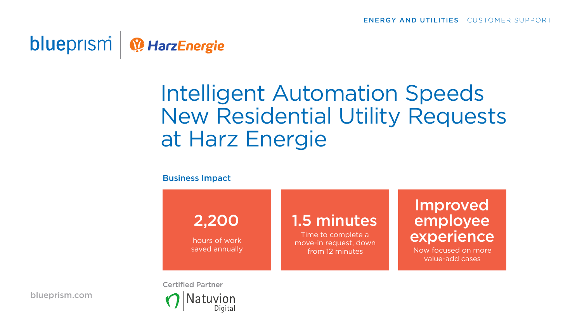### blueprism<sup>1</sup> <sup>1</sup> Harz Energie

# Intelligent Automation Speeds New Residential Utility Requests at Harz Energie

### Business Impact

2,200

hours of work saved annually

## 1.5 minutes

Time to complete a move-in request, down from 12 minutes

### Improved employee experience

Now focused on more value-add cases

[blueprism.com](https://www.blueprism.com)